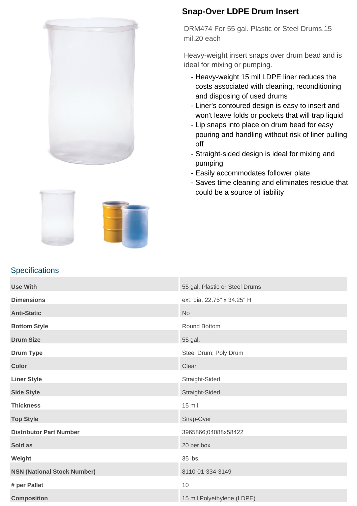

## **Snap-Over LDPE Drum Insert**

DRM474 For 55 gal. Plastic or Steel Drums,15 mil,20 each

Heavy-weight insert snaps over drum bead and is ideal for mixing or pumping.

- Heavy-weight 15 mil LDPE liner reduces the costs associated with cleaning, reconditioning and disposing of used drums
- Liner's contoured design is easy to insert and won't leave folds or pockets that will trap liquid
- Lip snaps into place on drum bead for easy pouring and handling without risk of liner pulling off
- Straight-sided design is ideal for mixing and pumping
- Easily accommodates follower plate
- Saves time cleaning and eliminates residue that could be a source of liability



## **Specifications**

| <b>Use With</b>                    | 55 gal. Plastic or Steel Drums |
|------------------------------------|--------------------------------|
| <b>Dimensions</b>                  | ext. dia. 22.75" x 34.25" H    |
| <b>Anti-Static</b>                 | <b>No</b>                      |
| <b>Bottom Style</b>                | Round Bottom                   |
| <b>Drum Size</b>                   | 55 gal.                        |
| <b>Drum Type</b>                   | Steel Drum; Poly Drum          |
| <b>Color</b>                       | Clear                          |
| <b>Liner Style</b>                 | Straight-Sided                 |
| <b>Side Style</b>                  | Straight-Sided                 |
| <b>Thickness</b>                   | $15$ mil                       |
| <b>Top Style</b>                   | Snap-Over                      |
| <b>Distributor Part Number</b>     | 3965866;04088x58422            |
| Sold as                            | 20 per box                     |
| Weight                             | 35 lbs.                        |
| <b>NSN (National Stock Number)</b> | 8110-01-334-3149               |
| # per Pallet                       | 10                             |
| <b>Composition</b>                 | 15 mil Polyethylene (LDPE)     |